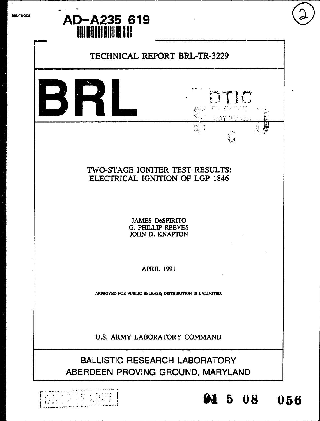



**BRL** <sup>~</sup>

## TECHNICAL REPORT BRL-TR-3229

TIC

ą,

## TWO-STAGE IGNITER TEST RESULTS: ELECTRICAL IGNITION OF LGP 1846

JAMES DeSPIRITO **G.** PHILLIP REEVES JOHN D. KNAPTON

APRIL 1991

APPROVED **FOR PUBLIC RELEASE; DISTRIBUTION IS UNLIMITED.**

U.S. ARMY LABORATORY COMMAND

**BALLISTIC** RESEARCH LABORATORY **ABERDEEN** PROVING **GROUND,** MARYLAND

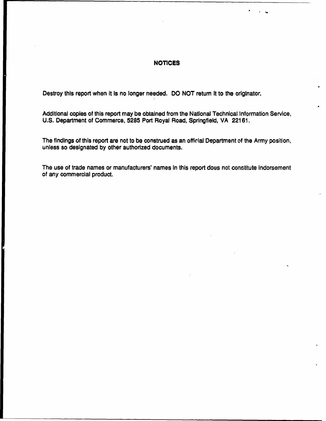#### **NOTICES**

Destroy this report when it is no longer needed. DO NOT return it to the originator.

Additional copies of this report may be obtained from the National Technical Information Service, U.S. Department of Commerce, 5285 Port Royal Road, Springfield, VA 22161.

The findings of this report are not to be construed as an official Department of the Army position, unless so designated by other authorized documents.

The use of trade names or manufacturers' names in this report does not constitute indorsement of any commercial product.

E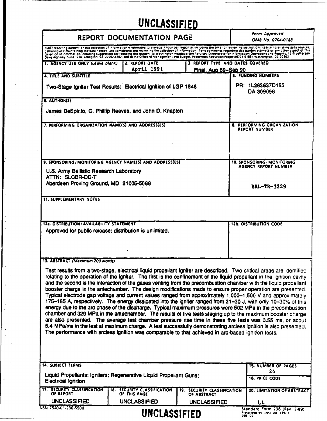# UNCLASSIFIED

| REPORT DOCUMENTATION PAGE                                                                             | Form Approved<br>OMB No. 0704-0188                              |                                    |                                                                                                                                                                                                                                                                                                                                                                                                                                                                                                                                                                                                                                                                                                                 |
|-------------------------------------------------------------------------------------------------------|-----------------------------------------------------------------|------------------------------------|-----------------------------------------------------------------------------------------------------------------------------------------------------------------------------------------------------------------------------------------------------------------------------------------------------------------------------------------------------------------------------------------------------------------------------------------------------------------------------------------------------------------------------------------------------------------------------------------------------------------------------------------------------------------------------------------------------------------|
|                                                                                                       |                                                                 |                                    | Public reporting aurgen for this collection of information is estimated to average 1 nour per response, including the time for reviewing instructions, searching existing data sources.<br>Failhering and maintaining the data needed, and completing and reviewing the collection of information. Send comments regarding this burden estimate or any other aspect of this collection of information. Send comments rega                                                                                                                                                                                                                                                                                       |
| 1. AGENCY USE ONLY (Leave blank)                                                                      | <b>12. REPORT DATE</b>                                          | 3. REPORT TYPE AND DATES COVERED   |                                                                                                                                                                                                                                                                                                                                                                                                                                                                                                                                                                                                                                                                                                                 |
|                                                                                                       | April 1991                                                      | Final, Aug 89-Sep 90               |                                                                                                                                                                                                                                                                                                                                                                                                                                                                                                                                                                                                                                                                                                                 |
| <b>4. TITLE AND SUBTITLE</b>                                                                          |                                                                 |                                    | <b>5. FUNDING NUMBERS</b>                                                                                                                                                                                                                                                                                                                                                                                                                                                                                                                                                                                                                                                                                       |
|                                                                                                       | Two-Stage Igniter Test Results: Electrical Ignition of LGP 1846 |                                    | PR: 1L263637D155<br>DA 309096                                                                                                                                                                                                                                                                                                                                                                                                                                                                                                                                                                                                                                                                                   |
| 6. AUTHOR(S)                                                                                          |                                                                 |                                    |                                                                                                                                                                                                                                                                                                                                                                                                                                                                                                                                                                                                                                                                                                                 |
| James DeSpirito, G. Phillip Reeves, and John D. Knapton                                               |                                                                 |                                    |                                                                                                                                                                                                                                                                                                                                                                                                                                                                                                                                                                                                                                                                                                                 |
| 7. PERFORMING ORGANIZATION NAME(5) AND ADDRESS(ES)                                                    |                                                                 |                                    | 8. PERFORMING ORGANIZATION<br>REPORT NUMBER                                                                                                                                                                                                                                                                                                                                                                                                                                                                                                                                                                                                                                                                     |
| 9. SPONSORING/MONITORING AGENCY NAME(S) AND ADDRESS(ES)<br>U.S. Army Ballistic Research Laboratory    |                                                                 |                                    | 10. SPONSORING / MONITORING<br>AGENCY REPORT NUMBER                                                                                                                                                                                                                                                                                                                                                                                                                                                                                                                                                                                                                                                             |
| ATTN: SLCBR-DD-T<br>Aberdeen Proving Ground, MD 21005-5066                                            |                                                                 |                                    | <b>BRL-TR-3229</b>                                                                                                                                                                                                                                                                                                                                                                                                                                                                                                                                                                                                                                                                                              |
| <b>11. SUPPLEMENTARY NOTES</b>                                                                        |                                                                 |                                    |                                                                                                                                                                                                                                                                                                                                                                                                                                                                                                                                                                                                                                                                                                                 |
| 12a. DISTRIBUTION / AVAILABILITY STATEMENT<br>Approved for public release; distribution is unlimited. |                                                                 |                                    | <b>12b. DISTRIBUTION CODE</b>                                                                                                                                                                                                                                                                                                                                                                                                                                                                                                                                                                                                                                                                                   |
| 13. ABSTRACT (Maximum 200 words)                                                                      |                                                                 |                                    | Test results from a two-stage, electrical liquid propellant igniter are described. Two critical areas are identified<br>relating to the operation of the igniter. The first is the confinement of the liquid propellant in the ignition cavity<br>and the second is the interaction of the gases venting from the precombustion chamber with the liquid propellant<br>booster charge in the antechamber. The design modifications made to ensure proper operation are presented.<br>Typical electrode gap voltage and current values ranged from approximately 1,000-1,500 V and approximately<br>175-185 A, respectively. The energy dissipated into the igniter ranged from 21-30 J, with only 10-30% of this |
| The performance with arcless ignition was comparable to that achieved in arc-based ignition tests.    |                                                                 |                                    | energy due to the arc phase of the discharge. Typical maximum pressures were 502 MPa in the precombustion<br>chamber and 329 MPa in the antechamber. The results of five tests staging up to the maximum booster charge<br>are also presented. The average test chamber pressure rise time in these five tests was 3.55 ms, or about<br>5.4 MPa/ms in the test at maximum charge. A test successfully demonstrating arcless ignition is also presented.                                                                                                                                                                                                                                                         |
| <b>14. SUBJECT TERMS</b>                                                                              |                                                                 |                                    | <b>15. NUMBER OF PAGES</b>                                                                                                                                                                                                                                                                                                                                                                                                                                                                                                                                                                                                                                                                                      |
| Liquid Propellants; Igniters; Regenerative Liquid Propellant Guns;<br><b>Electrical Ignition</b>      | 24<br><b>16. PRICE CODE</b>                                     |                                    |                                                                                                                                                                                                                                                                                                                                                                                                                                                                                                                                                                                                                                                                                                                 |
| 17. SECURITY CLASSIFICATION                                                                           | SECURITY CLASSIFICATION<br>18.                                  | SECURITY CLASSIFICATION<br>19.     | <b>20. LIMITATION OF ABSTRACT</b>                                                                                                                                                                                                                                                                                                                                                                                                                                                                                                                                                                                                                                                                               |
| OF REPORT                                                                                             | OF THIS PAGE                                                    |                                    |                                                                                                                                                                                                                                                                                                                                                                                                                                                                                                                                                                                                                                                                                                                 |
| <b>UNCLASSIFIED</b>                                                                                   | <b>UNCLASSIFIED</b>                                             | OF ABSTRACT<br><b>UNCLASSIFIED</b> | UL                                                                                                                                                                                                                                                                                                                                                                                                                                                                                                                                                                                                                                                                                                              |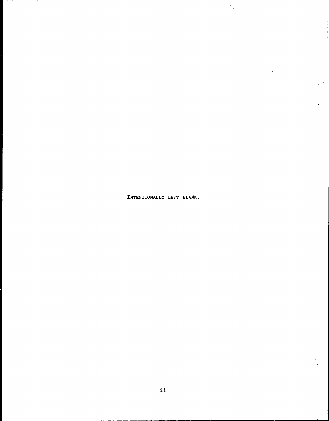INTENTIONALLY LEFT BLANK.

--- --

 $\mathcal{F}_{\mathcal{A}}$ 

 $\mathbf{v}$ 

 $\hat{\mathcal{A}}$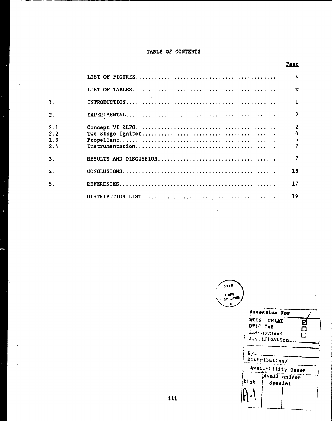### TABLE OF CONTENTS

|                           | Page                            |
|---------------------------|---------------------------------|
|                           | $\mathbf{v}$                    |
|                           | $\mathbf{v}$                    |
| $\mathbf{1}$ .            | $\mathbf{1}$                    |
| 2.                        | $\overline{2}$                  |
| 2.1<br>2.2<br>2.3<br>2.4  | $\overline{2}$<br>$\frac{4}{5}$ |
| 3.                        | $\overline{7}$                  |
| 4.                        | 15                              |
| $\overline{\mathbf{5}}$ . | 17                              |
|                           | 19                              |

| $_{\rm HSP}$ , $G$ |                                                        |  |
|--------------------|--------------------------------------------------------|--|
|                    | Accession For                                          |  |
| DTIC TAB           | NTIS GRAAI<br>Σ<br>dner rovnoed<br>71<br>Juncification |  |
| Ву.                | Distribution/                                          |  |
|                    | Availability Codes                                     |  |
| Dist               | Mvail and/or<br>Special                                |  |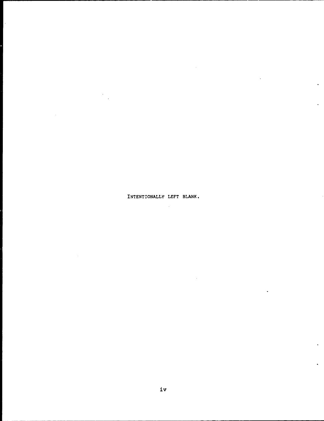INTENTIONALL? LEFT BLANK.

 $\bar{\beta}$ 

 $\bar{z}$ 

 $\ddot{\phantom{0}}$  $\ddot{\phantom{1}}$ 

 $\bar{z}$ 

 $\sim$ 

 $\bullet$ 

 $\hat{\phantom{a}}$ 

 $\ddot{\phantom{a}}$ 

 $\hat{\mathbf{A}}$ 

l,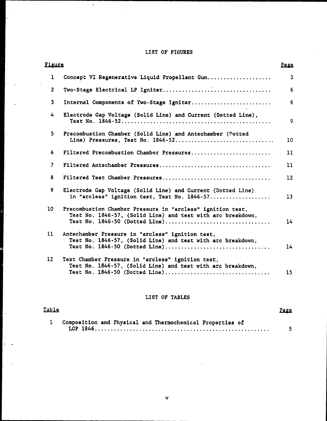#### LIST OF FIGURES

 $\hat{\mathbf{v}}$ 

 $\ddot{\phantom{a}}$ 

 $\vert$  .

 $\mathbf{R}$ 

 $\overline{\phantom{a}}$  .

 $\ddot{\phantom{a}}$ 

 $\ddot{\phantom{0}}$ 

 $\ddot{\phantom{1}}$ k.

Ŀ.

| <b>Figure</b>   |                                                                                                                                                    | Page                    |
|-----------------|----------------------------------------------------------------------------------------------------------------------------------------------------|-------------------------|
| $\mathbf{1}$    | Concept VI Regenerative Liquid Propellant Gun                                                                                                      | $\overline{\mathbf{3}}$ |
| $\mathbf{2}$    |                                                                                                                                                    | $6\overline{6}$         |
| 3               | Internal Components of Two-Stage Igniter                                                                                                           | $6\phantom{1}$          |
| 4               | Electrode Gap Voltage (Solid Line) and Current (Dotted Line),                                                                                      | 9                       |
| 5.              | Precombustion Chamber (Solid Line) and Antechamber (Potted<br>Line) Pressures, Test No. 1846-52                                                    | 10                      |
| 6.              | Filtered Precombustion Chamber Pressures                                                                                                           | 11                      |
| 7               |                                                                                                                                                    | 11                      |
| 8               |                                                                                                                                                    | 12                      |
| 9               | Electrode Gap Voltage (Solid Line) and Current (Dotted Line)<br>in "arcless" ignition test, Test No. 1846-57                                       | 13                      |
| 10 <sup>°</sup> | Precombustion Chamber Pressure in "arcless" ignition test.<br>Test No. 1846-57, (Solid Line) and test with arc breakdown,                          | 14                      |
| 11              | Antechamber Pressure in "arcless" ignition test,<br>Test No. 1846-57, (Solid Line) and test with arc breakdown,<br>Test No. 1846-50 (Dotted Line)  | 14                      |
| 12              | Test Chamber Pressure in "arcless" ignition test,<br>Test No. 1846-57, (Solid Line) and test with arc breakdown,<br>Test No. 1846-50 (Dotted Line) | 15                      |

#### LIST OF TABLES

| Table |                                                             | <u>Page</u> |
|-------|-------------------------------------------------------------|-------------|
|       | 1 Composition and Physical and Thermochemical Properties of |             |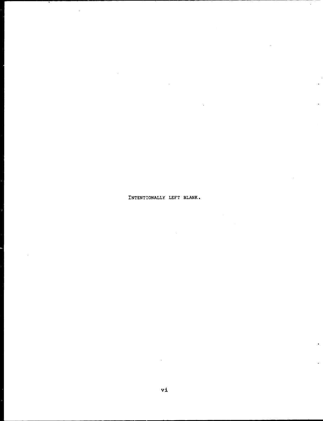INTENTIONALLY LEFT BLANK.

 $\overline{a}$ 

 $\overline{a}$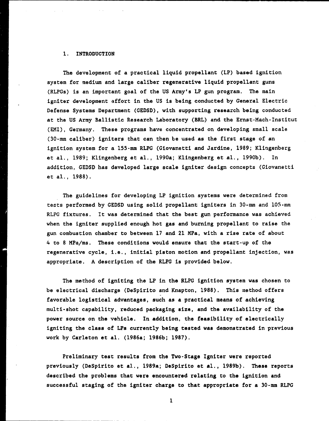#### **1.** INTRODUCTION

The development of a practical liquid propellant (LP) based ignition system for medium and large caliber regenerative liquid propellant guns (RLPGs) is an important goal of the US Army's LP gun program. The main igniter development affort in the US is being conducted by General Electric Defense Systems Department (GEDSD), with supporting research being conducted at the US Army Ballistic Research Laboratory (BRL) and the Ernst-Mach-Institut (EMI), Germany. These programs have concentrated on developing small scale (30-mm caliber) igniters that can then be used as the first stage of an ignition system for a 155-mm RLPG (Giovanetti and Jardine, 1989; Klingenberg et al., 1989; Klingenberg et al., 1990a; Klingenberg et al., 1990b). In addition, GEDSD has developed large scale igniter design concepts (Giovanetti et al., 1988).

The guidelines for developing LP ignition systems were determined from tests performed by GEDSD using solid propellant igniters in 30-mm and 105-mm RLPG fixtures. It was determined that the best gun performance was achieved when the igniter supplied enough hot gas and burning propellant to raise the gun combustion chamber to between 17 and 21 MPa, with a rise rate of about 4 to 8 MPa/ms. These conditions would ensure that the start-up of the regenerative cycle, i.e., initial piston motion and propellant injection, was appropriate. A description of the RLPG is provided below.

The method of igniting the LP in the RLPG ignition system was chosen to be electrical discharge (DeSpirito and Knapton, 1988). This method offers favorable logistical advantages, such as a practical means of achieving multi-shot capability, reduced packaging size, and the availability of the power source on the vehicle. In addition, the feasibility of electrically igniting the class of LPs currently being tested was demonstrated in previous work by Carleton et al. (1986a; 1986b; 1987).

Preliminary test results from the Two-Stage Igniter were reported previously (DeSpirito et al., 1989a; DeSpirito et al., 1989b). These reports described the problems that were encountered relating to the ignition and successful staging of the igniter charge to that appropriate for a 30-mm RLPG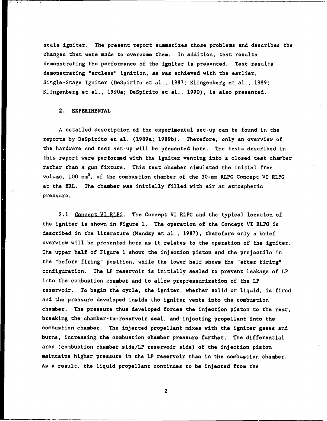scale igniter. The present report summarizes those problems and describes the changes that were made to overcome them. In addition, test results demonstrating the performance of the igniter is presented. Test results demonstrating "arcless" ignition, as was achieved with the earlier, Single-Stage Igniter (DeSpirito et al., 1987; Klingenberg et al., 1989; Klingenberg at al., 1990a; DeSpirito at al., 1990), is also presented.

#### 2. EXPERIMENTAL

 $\lambda_2$ 

A detailed description of the experimental set-up can be found in the reports by DeSpirito et al. (1989a; 1989b). Therefore, only an overview of the hardware and test set-up will be presented here. The tests described in this report were performed with the igniter venting into a closed test chamber rather than a gun fixture. This test chamber simulated the initial free volume, **100** cm3 , of the combustion chamber of the 30-mm RLPG Concept VI RLPG at the BRL. The chamber was initially filled with air at atmospheric pressure.

2.1 Concept VI RLPG. The Concept VI RLPG and the typical location of the igniter is shown in Figure **1.** The operation of the Concept VI RLPG is described in the literature (Mandzy et al., 1987), therefore only a brief overview will be presented here as it relates to the operation of the igniter. The upper half of Figure 1 showe the injection piston and the projectile in the "before firing" position, while the lower half shows the "after firing" configuration. The LP reservoir is initially sealed to prevent leakage of LP into the combustion chamber and to allow prepressurization of the LP reservoir. To begin the cycle, the igniter, whether solid or liquid, is fired and the pressure developed inside the igniter vents into the combustion chamber. The pressure thus developed forces the injection piston to the rear, breaking the chamber-to-reservoir seal, and injecting propellant into the combustion chamber. The injected propellant mixes with the igniter gases and burns, increasing the combustion chamber pressure further. The differential area (combustion chamber side/LP reservoir side) of the injection piston maintains higher pressure in the LP reservoir than in the combustion chamber. As a result, the liquid propellant continues to be injected from the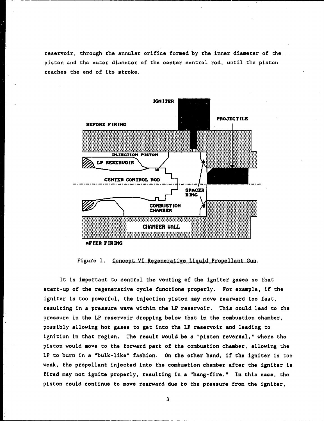reservoir, through the annular orifice formed by the inner diameter of the piston and the outer diameter of the center control rod, until the piston reaches the end of its stroke.



#### Figure 1. Concept VI Regenerative Liquid Propellant Gun.

It is important to control the venting of the igniter gases so that start-up of the regenerative cycle functions properly. For example, if the igniter is too powerful, the injection piston may move rearward too fast, resulting in a pressure wave within the LP reservoir. This could lead to the pressure in the LP reservoir dropping below that in the combustion chamber, possibly allowing hot gases to get into the LP reservoir and leading to ignition in that region. The result would be a "piston reversal," where the piston would move to the forward part of the combustion chamber, allowing the LP to burn in a "bulk-like" fashion. On the other hand, if the igniter is too weak, the propellant injected into the combustion chamber after the igniter is fired may not ignite properly, resulting in a "hang-fire." In this case, the piston could continue to move rearward due to the pressure from the igniter,

 $\mathbf{3}$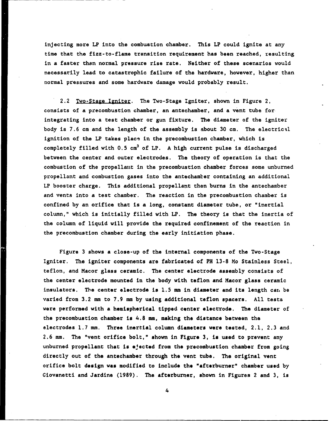injecting more LP into the combustion chamber. This LP could ignite at any time that the fizz-to-flame transition requirement has been reached, resulting in a faster than normal pressure rise rate. Neither of these scenarios would necessarily lead to catastrophic failure of the hardware, however, higher than normal pressures and some hardware damage would probably result.

2.2 Two-Stage Igniter. The Two-Stage Igniter, shown in Figure 2, consists of a precombustion chamber, an antechamber, and a vent tube for integrating into a test chamber or gun fixture. The diameter of the igniter body is 7.6 cm and the length of the assembly is about 30 cm. The electrical ignition of the LP takes place in the precombustion chamber, which is completely filled with 0.5 **cm3** of LP. A high current pulse is discharged between the center and outer electrodes. The theory of operation is that the combustion of the propellant in the precombustion chamber forces some unburned propellant and combustion gases into the antechamber containing an additional LP booster charge. This additional propellant then burns in the antechamber and vents into a test chamber. The reaction in the precombustion chamber is confined by an orifice that is a long, constant diameter tube, or "inertial column," which is initially filled with LP. The theory is that the inertia of the column of liquid will provide the required confinement of the reaction in the precombustion chamber during the early initiation phase.

Figure 3 shows a close-up of the internal components of the Two-Stage Igniter. The igniter components are fabricated of PH 13-8 Mo Stainless Steel, teflon, and Macor glass ceramic. The center electrode assembly consists of the center electrode mounted in the body with teflon and Macor glass ceramic insulators. The center electrode is 1.5 mm in diameter and its length car, be varied from 3.2 mm to 7.9 mm by using additional teflon spacers. All tests were performed with a hemispherical tipped center electrode. The diameter of the precombustion chamber is 4.8 mm, making the distance between the electrodes 1.7 mm. Three inertial column diameters were tested, 2.1, 2.3 and 2.6 mm. The "vent orifice bolt," shown in Figure 3, is used to prevent any unburned propellant that is ejected from the precombustion chamber from going directly out of the antechamber through the vent tube. The original vent orifice bolt design was modified to include the "afterburner" chamber used by Giovanetti and Jardine (1989). The afterburner, shown in Figures 2 and 3, is

بينانم<br>.<br>.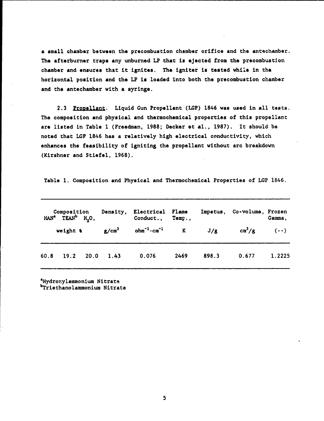a small chamber between the precombustion chamber orifice and the antechamber. The afterburner traps any unburned LP that is ejected from the precombustion chamber and ensures that it ignites. The igniter is tested while in the horizontal position and the LP is loaded into both the precombustion chamber and the antechamber with a syringe.

2.3 Propellant. Liquid Gun Propellant (LGP) 1846 was used in all tests. The composition and physical and thermochemical properties of this propellant are listed in Table **1** (Freedman, 1988; Decker et al., 1987). It should be noted that LGP 1846 has a relatively high electrical conductivity, which enhances the feasibility of igniting the propellant without arc breakdown (Kirshner and Stiefel, 1968).

|  |  |  | Table 1. Composition and Physical and Thermochemical Properties of LGP 1846. |  |  |
|--|--|--|------------------------------------------------------------------------------|--|--|
|  |  |  |                                                                              |  |  |

|      | Composition<br>HAN <sup>4</sup> TEAN <sup>b</sup> H <sub>2</sub> O, |      | Density,          | Electrical Flame<br>Conduct., | Temp., | Impetus, | Co-volume, Frozen      | Gamma,     |
|------|---------------------------------------------------------------------|------|-------------------|-------------------------------|--------|----------|------------------------|------------|
|      | weight &                                                            |      | g/cm <sup>3</sup> | $ohm^{-1}$ -cm <sup>-1</sup>  | K      | J/g      | $\text{cm}^3/\text{g}$ | $(-\cdot)$ |
| 60.8 | 19.2                                                                | 20.0 | 1.43              | 0.076                         | 2469   | 898.3    | 0.677                  | 1.2225     |

8Hydroxylammonium Nitrate bTriethanolammonium Nitrate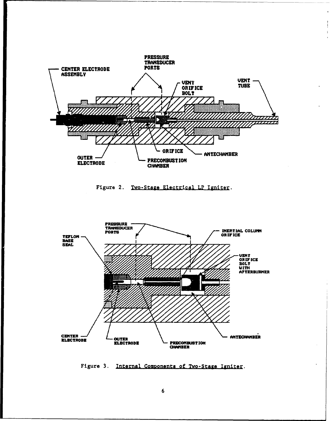





Figure 3. Internal Components of Two-Stage Igniter.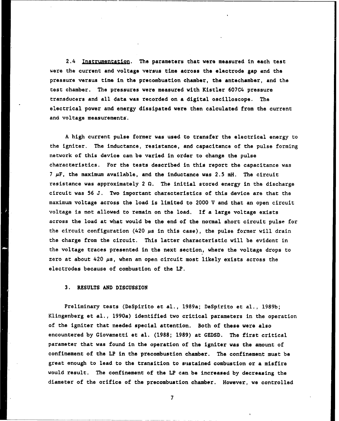2.4 Instrumentation. The parameters that were measured in each test were the current and voltage versus time across the electrode gap and the pressure versus time in the precombustion chamber, the antechamber, and the test chamber. The pressures were measured with Kistler 607C4 pressure transducers and all data was recorded on a digital oscilloscope. The electrical power and energy dissipated were then calculated from the current and voltage measurements.

A high current pulse former was used to transfer the electrical energy to the igniter. The inductance, resistance, and capacitance of the pulse forming network of this device can be varied in order to change the pulse characteristics. For the tests described in this report the capacitance was  $7 \mu$ F, the maximum available, and the inductance was 2.5 mH. The circuit resistance was approximately 2  $\Omega$ . The initial stored energy in the discharge circuit was 56 J. Two important characteristics of this device are that the maximum voltage across the load is limited to 2000 V and that an open circuit voltage is not allowed to remain on the load. If a large voltage exists across the load at what would be the end of the normal short circuit pulse for the circuit configuration (420  $\mu$ s in this case), the pulse former will drain the charge from the circuit. This latter characteristic will be evident in the voltage traces presented in the next section, where the voltage drops to zero at about  $420 \mu s$ , when an open circuit most likely exists across the electrodes because of combustion of the LP.

3. RESULTS AND DISCUSSION

ı,

Preliminary tests (DeSpirito et al., 1989a; DeSpirito et al., 1989b; Klingenberg et al., 1990a) identified two critical parameters in the operation of the igniter that needed special attention. Both of these were also encountered by Giovanetti et al. (1988; 1989) at GEDSD. The first critical parameter that was found in the operation of the igniter was the amount of confinement of the LP in the precombustion chamber. The confinement must be great enough to lead to the transition to sustained combustion or a misfire would result. The confinement of the LP can be increased by decreasing the diameter of the orifice of the precombustion chamber. However, we controlled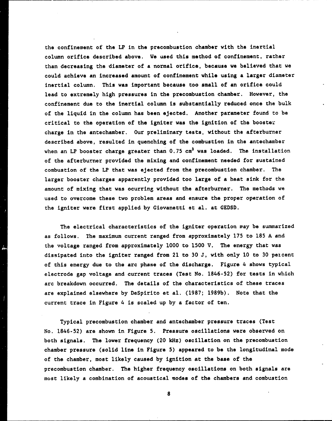the confinement of the LP in the precombustion chamber with the inertial column orifice described above. We used this method of confinement, rather than decreasing the diameter of a normal orifice, because we believed that we could achieve an increased amount of confinement while using a larger diameter inertial column. This was important because too small of an orifice could lead to extremely high pressures in the precombustion chamber. However, the confinement due to the inertial column is substantially reduced once the bulk of the liquid in the column has been ejected. Another parameter found to be critical to the operation of the igniter was the ignition of the booster charge in the antechamber. Our preliminary tests, without the afterburner described above, resulted in quenching of the combustion in the antechamber when an LP booster charge greater than 0.75 **cm3** was loaded. The installation of the afterburner provided the mixing and confinement needed for sustained combustion of the LP that was ejected from the precombustion chamber. The larger booster charges apparently provided too large of a heat sink for the amount of mixing that was ocurring without the afterburner. The methods we used to overcome these two problem areas and ensure the proper operation of the igniter were first applied by Giovanetti et al. at GEDSD.

The electrical characteristics of the igniter operation may be summarized as follows. The maximum current ranged from approximately 175 to 185 A and the voltage ranged from approximately 1000 to 1500 V. The energy that was dissipated into the igniter ranged from 21 to 30 J, with only 10 to 30 petcent of this energy due to the arc phase of the discharge. Figure 4 shows typical electrode gap voltage and current traces (Test No. 1846-52) for tests in which arc breakdown occurred. The details of the characteristics of these traces are explained elsewhere by DeSpirito et al. (1987; 1989b). Note that the current trace in Figure 4 is scaled up by a factor of ten.

Typical precombustion chamber and antechamber pressure traces (Test No. 1846-52) are shown in Figure 5. Pressure oscillations were observed on both signals. The lower frequency (20 kHz) oscillation on the precombustion chamber pressure (solid line in Figure 5) appeared to be the longitudinal mode of the chamber, most likely caused by ignition at the base of the precombustion chamber. The higher frequency oscillations on both signals are most likely a combination of acoustical modes of the chambers and combustion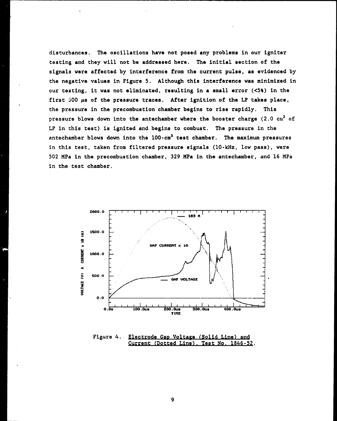disturbances. The oscillations have not posed any problems in our igniter testing and they will not be addressed here. The initial section of the signals were affected by interference from the current pulse, as evidenced by the negative values in Figure 5. Although this interference was minimized in our testing, it was not eliminated, resulting in a small error (<5%) in the first 500  $\mu$ s of the pressure traces. After ignition of the LP takes place, the pressure in the precombustion chamber begins to rise rapidly. This pressure blows down into the antechamber where the booster charge  $(2.0 \text{ cm}^3 \text{ of }$ LP in this test) is ignited and begins to combust. The pressure in the antechamber blows down into the 100-cm<sup>3</sup> test chamber. The maximum pressures in this test, taken from filtered pressure signals (l0-kHz, low pass), were 502 MPa in the precombustion chamber, 329 MPa in the antechamber, and 16 MPa in the test chamber.



Figure 4. Electrode Gap Voltage (Solid Line) and Current (Dotted Line). Test No. 1846-52.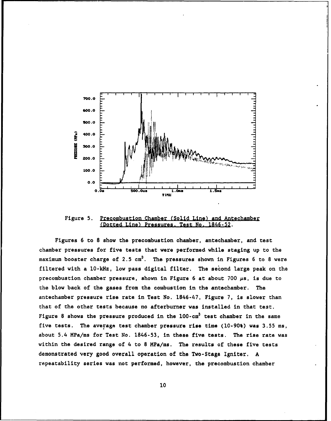

Figure 5. Precombustion Chamber (Solid Line) and Antechamber (Dotted Line) Pressures. Test No. 1846-52.

Figures 6 to 8 show the precombustion chamber, antechamber, and test chamber pressures for five tests that were performed while staging up to the maximum booster charge of 2.5  $cm^3$ . The pressures shown in Figures 6 to 8 were filtered with a 10-kHz, low pass digital filter. The second large peak on the precombustion chamber pressure, shown in Figure 6 at about 700  $\mu$ s, is due to the blow back of the gases from the combustion in the antechamber. The antechamber pressure rise rate in Test No. 1846-47, Figure 7, is slower than that of the other tests because no afterburner was installed in that test. Figure 8 shows the pressure produced in the  $100$ -cm<sup>3</sup> test chamber in the same five tests. The average test chamber pressure rise time (10-90%) was 3.55 ms, about 5.4 MPa/ms for Test No. 1846-53, in these five tests. The rise rate was within the desired range of 4 to 8 MPa/ms. The results of these five tests demonstrated very good overall operation of the Two-Stage Igniter. A repeatability series was not performed, however, the precombustion chamber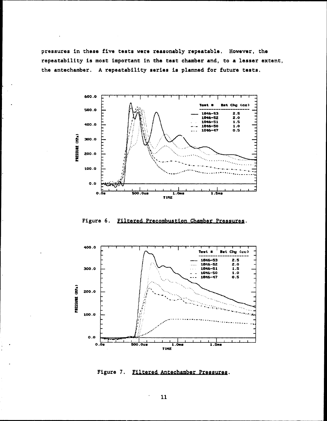pressures in these five tests were reasonably repeatable. However, the repeatability is most important in the test chamber and, to a lesser extent, the antechamber. A repeatability series is planned for future tests.







Figure 7. Filtered Antechamber Pressures.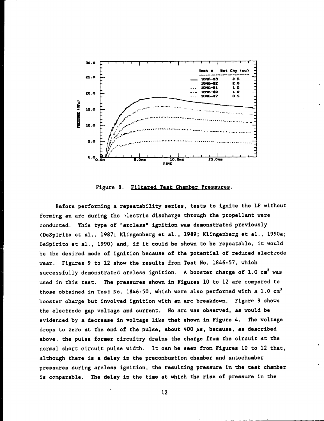

Filtered Test Chamber Pressures. Figure 8.

Before performing a repeatability series, tests to ignite the LP without forming an arc during the alectric discharge through the propellant were conducted. This type of "arcless" ignition was demonstrated previously (DeSpirito et al., 1987; Klingenberg et al., 1989; Klingenberg et al., 1990a; DeSpirito et al., 1990) and, if it could be shown to be repeatable, it would be the desired mode of ignition because of the potential of reduced electrode wear. Figures 9 to 12 show the results from Test No. 1846-57, which successfully demonstrated arcless ignition. A booster charge of 1.0 cm<sup>3</sup> was used in this test. The pressures shown in Figures 10 to 12 are compared to those obtained in Test No. 1846-50, which were also performed with a  $1.0 \text{ cm}^3$ booster charge but involved ignition with an arc breakdown. Figure 9 shows the electrode gap voltage and current. No arc was observed, as would be evidenced by a decrease in voltage like that shown in Figure 4. The voltage drops to zero at the end of the pulse, about 400  $\mu$ s, because, as described above, the pulse former circuitry drains the charge from the circuit at the normal short circuit pulse width. It can be seen from Figures 10 to 12 that, although there is a delay in the precombustion chamber and antechamber pressures during arcless ignition, the resulting pressure in the test chamber is comparable. The delay in the time at which the rise of pressure in the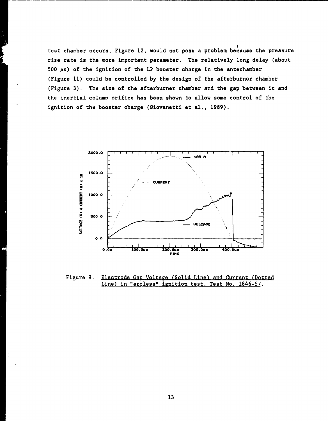test chamber occurs, Figure 12, would not pose a problem because the pressure rise rate is the more important parameter. The relatively long delay (about 500  $\mu$ s) of the ignition of the LP booster charge in the antechamber (Figure 11) could be controlled by the design of the afterburner chamber (Figure 3). The size of the afterburner chamber and the gap between it and the inertial column orifice has been shown to allow some control of the ignition of the booster charge (Giovanetti et al., 1989).



Figure 9. Electrode Gap Voltage (Solid Line) and Current (Dotted Line) in "arcless" ignition test. Test No. 1846-57.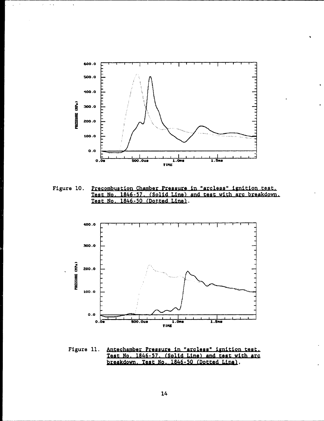

Figure 10. Precombustion Chamber Pressure in "arcless" ignition test. Test No. 1846-57. (Solid Line) and test with arc breakdown. Test No. 1846-50 (Dotted Line).



Figure 11. Antechamber Pressure in "arcless" ignition test. Test No. 1846-57. (Solid Line) and test with arc breakdown. Test No. 1846-50 (Dotted Line).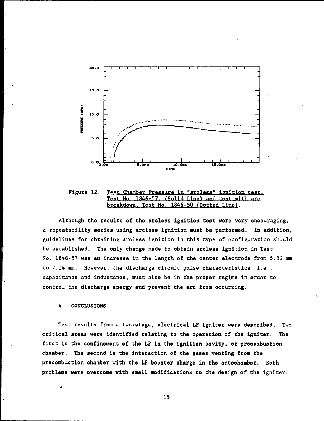

Figure 12. Test Chamber Pressure in "arcless" ignition test. Test No. 1846-57. (Solid Line) and test with arc breakdown. Test No. 1846-50 (Dotted Line).

Although the results of the arcless ignition test were very encouraging, a repeatability series using arcless ignition must be performed. In addition, guidelines for obtaining arcless ignition in this type of configuration should be established. The only change made to obtain arcless ignition in Test No. 1846-57 was an increase in the length of the center electrode from 5.36 **mm** to 7.14 mm. However, the discharge circuit pulse characteristics, i.e., capacitance and inductance, must also be in the proper regime in order to control the discharge energy and prevent the arc from occurring.

#### 4. CONCLUSIONS

Test results from a two-stage, electrical LP igniter were described. Two critical areas were identified relating to the operation of the igniter. The first is the confinement of the LP in the ignition cavity, or precombustion chamber. The second is the interaction of the gases venting from the precombustion chamber with the LP booster charge in the antechamber. Both problems were overcome with small modifications to the design of the igniter.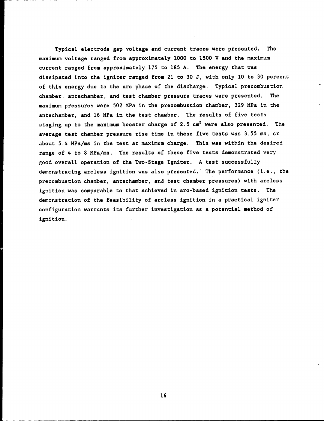Typical electrode gap voltage and current traces were presented. The maximum voltage ranged from approximately 1000 to 1500 V and the maximum current ranged from approximately 175 to 185 A. The energy that was dissipated into the igniter ranged from 21 to 30 J, with only **10** to 30 percent of this energy due to the arc phase of the discharge. Typical precombustion chamber, antechamber, and test chamber pressure traces were presented. The maximum pressures were 502 MPa in the precombustion chamber, 329 MPa in the antechamber, and 16 MPa in the test chamber. The results of five tests staging up to the maximum booster charge of 2.5 **cm3** were also presented. The average test chamber pressure rise time in these five tests was 3.55 ms, or about 5.4 MPa/ms in the test at maximum charge. This was within the desired range of 4 to 8 MPa/ms. The results of these five tests demonstrated very good overall operation of the Two-Stage Igniter. A test successfully demonstrating arcless ignition was also presented. The performance (i.e., the precombustion chamber, antechamber, and test chamber pressures) with arcless ignition was comparable to that achieved in arc-based ignition tests. The demonstration of the feasibility of arcless ignition in a practical igniter configuration warrants its further investigation as a potential method of ignition.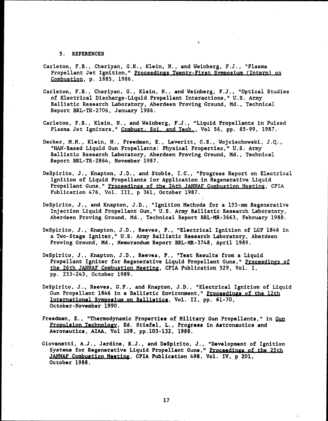#### 5. REFERENCES

- Carleton, F.B., Cheriyan, G.K., Klein, N., and Weinberg, F.J., "Plasma Propellant Jet Ignition," Proceedings Twenty-First Symposium (Intern) on Combustion, p. 1885, 1986.
- Carleton, F.B., Cheriyan, G., Klein, N., and Weinberg, F.J., "Optical Studies of Electrical Discharge-Liquid Propellant Interactions," U.S. Army Ballistic Research Laboratory, Aberdeen Proving Ground, Md., Technical Report BRL-TR-2706, January 1986.
- Carleton, F.B., Klein, N., and Weinberg, F.J., "Liquid Propellants in Pulsed Plasma Jet Igniters," Combust. Sci. and Tech., Vol 56, pp. 85-99, 1987.
- Decker, M.M., Klein, N., Freedman, E., Leveritt, C.S., Wojciechowski, J.Q., "HAN-Based Liquid Gun Propellants: Physical Properties," U.S. Army Ballistic Research Laboratory, Aberdeen Proving Ground, Md., Technical Report BRL-TR-2864, November 1987.
- DeSpirito, J., Knapton, J.D., and Stobie, I.C., "Progress Report on Electrical Ignition of Liquid Propellants for Application in Regenerative Liquid Propellant Guns," Proceedings of the 24th JANNAF Combustion Meeting, CPIA Publication 476, Vol. III, p 361, October 1987.
- DeSpirito, J., and Knapton, J.D., "Ignition Methods for a 155-mm Regenerative Injection Liquid Propellant Gun," U.S. Army Ballistic Research Laboratory, Aberdeen Proving Ground, Md., Technical Report BRL-MR-3663, February 1988.
- DeSpirito, J., Knapton, J.D., Reeves, P., "Electrical Ignition of LGP 1846 in a Two-Stage Igniter," U.S. Army Ballistic Research Laboratory, Aberdeen Proving Ground, Md., Memorandum Report BRL-MR-3748, April 1989.
- DeSpirito, J., Knapton, J.D., Reeves, P., "Test Results from a Liquid Propellant Igniter for Regenerative Liquid Propellant Guns," Proceedings of the 26th JANNAF Combustion Meeting, CPIA Publication 529, Vol. I, pp. 233-243, October 1989.
- DeSpirito, J., Reeves, G.P., and Knapton, J.D., "Electrical Ignition of Liquid Gun Propellant 1846 in a Ballistic Environment," Proceedings of the 12th International Symposium on Ballistics, Vol. II, pp. 61-70, October-November 1990.
- Freedman, E., "Thermodynamic Properties of Military Gun Propellants," in **gun** Propulsion Technology, Ed. Stiefel, L., Progress in Astronautics and Aeronautics, AIAA, Vol 109, pp.103-132, 1988.
- Giovanetti, A.J., Jardine, K.J., and DeSpirito, J., "Development of Ignition Systems for Regenerative Liquid Propellant Guns," Proceedings **of** the 25th JANNAF Combustion Meeting, CPIA Publication 498, Vol. IV, p 201, October 1988.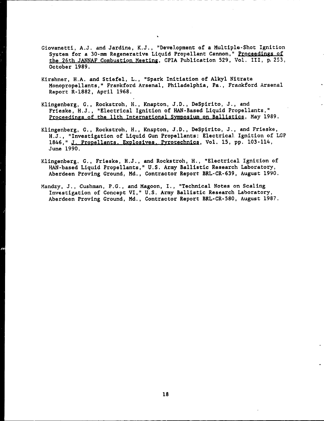- Giovanetti, A.J. and Jardine, K.J., "Development of a Multiple-Shot Ignition System for a 30-mm Regenerative Liquid Propellant Cannon," Proceedings of the 26th JANNAF Combustion Meeting, CPIA Publication 529, Vol. III, p. 253, October 1989.
- Kirshner, H.A. and Stiefel, L., "Spark Initiation of Alkyl Nitrate Monopropellants," Frankford Arsenal, Philadelphia, Pa., Frankford Arsenal Report R-1882, April 1968.
- Klingenberg, G., Rockstroh, H., Knapton, J.D., DeSpirito, J., and Frieske, H.J., "Electrical Ignition of HAN-Based Liquid Propellants," Proceedings of the llth International Symposium on Ballistics, May 1989.
- Klingenberg, **G.,** Rockstroh, H., Knapton, J.D., DeSpirito, J., and Frieske, H.J., "Investigation of Liquid Gun Propellants: Electrical. Ignition of LGP 1846," J. Propellants. Explosives. Pyrotechnics, Vol. 15, pp. 103-114, June 1990.
- Klingenberg. **G.,** Frieske, H.J., and Rockstroh, H., "Electrical Ignition of HAN-based Liquid Propellants," U.S. Army Ballistic Research Laboratory, Aberdeen Proving Ground, Md., Contractor Report BRL-CR-639, August 1990.
- Mandzy, **J.,** Cushman, P.G., and Magoon, I., "Technical Notes on Scaling Investigation of Concept VI," U.S. Army Ballistic Research Laboratory, Aberdeen Proving Ground, Md., Contractor Report BRL-CR-580, August 1987.